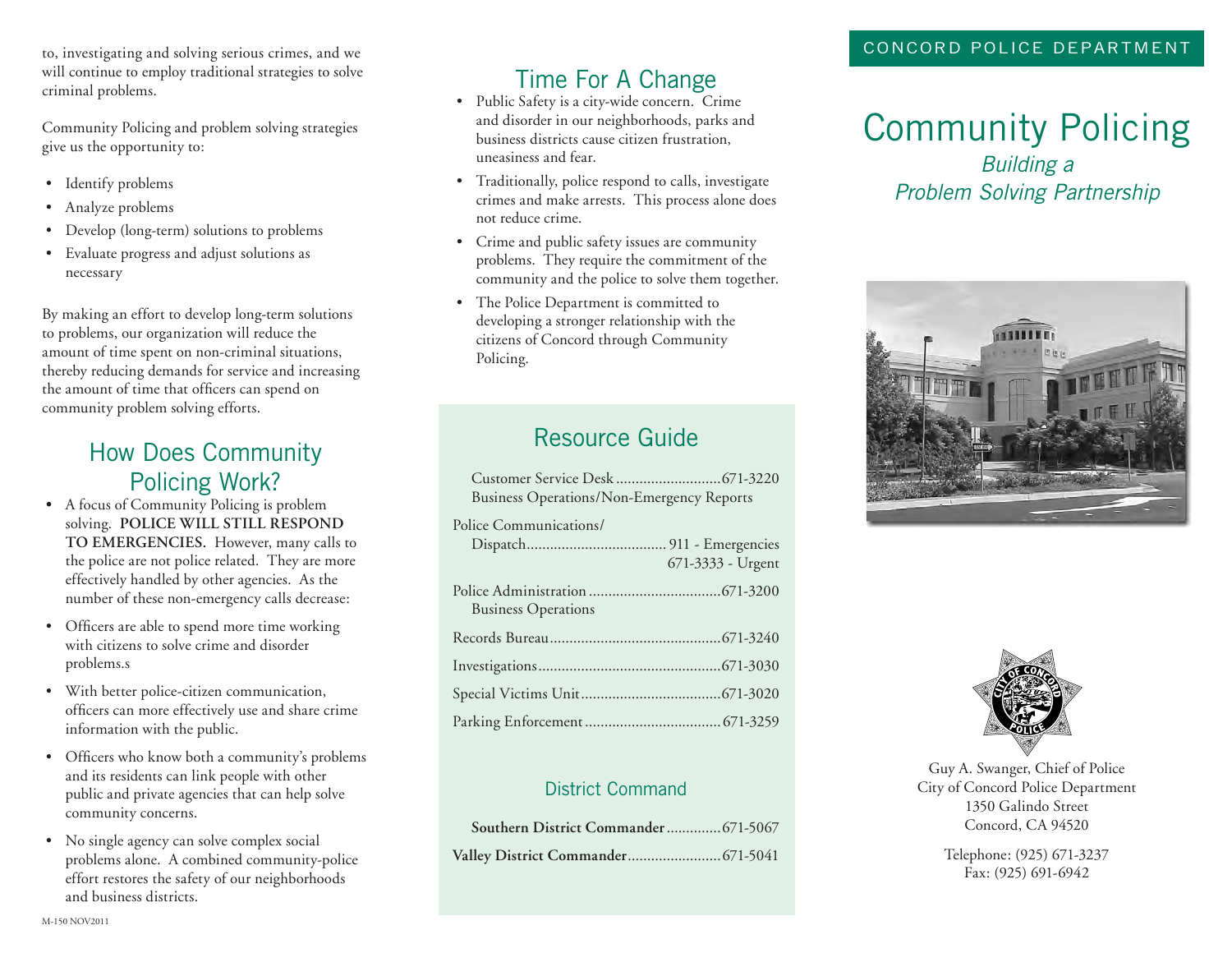to, investigating and solving serious crimes, and we will continue to employ traditional strategies to solve criminal problems.

Community Policing and problem solving strategies give us the opportunity to:

- Identify problems
- Analyze problems
- Develop (long-term) solutions to problems
- Evaluate progress and adjust solutions as necessary

By making an effort to develop long-term solutions to problems, our organization will reduce the amount of time spent on non-criminal situations, thereby reducing demands for service and increasing the amount of time that officers can spend on community problem solving efforts.

#### How Does Community Policing Work?

- **•** A focus of Community Policing is problem solving. **POLICE WILL STILL RESPOND TO EMERGENCIES.** However, many calls to the police are not police related. They are more effectively handled by other agencies. As the number of these non-emergency calls decrease:
- Officers are able to spend more time working with citizens to solve crime and disorder problems.s
- With better police-citizen communication, officers can more effectively use and share crime information with the public.
- Officers who know both a community's problems and its residents can link people with other public and private agencies that can help solve community concerns.
- No single agency can solve complex social problems alone. A combined community-police effort restores the safety of our neighborhoods and business districts.

### Time For A Change

- Public Safety is a city-wide concern. Crime and disorder in our neighborhoods, parks and business districts cause citizen frustration, uneasiness and fear.
- Traditionally, police respond to calls, investigate crimes and make arrests. This process alone does not reduce crime.
- Crime and public safety issues are community problems. They require the commitment of the community and the police to solve them together.
- The Police Department is committed to developing a stronger relationship with the citizens of Concord through Community Policing.

## Resource Guide

| <b>Business Operations/Non-Emergency Reports</b> |                   |
|--------------------------------------------------|-------------------|
| Police Communications/                           | 671-3333 - Urgent |
| <b>Business Operations</b>                       |                   |
|                                                  |                   |
|                                                  |                   |
|                                                  |                   |
|                                                  |                   |

#### District Command

| Southern District Commander 671-5067 |  |
|--------------------------------------|--|
|                                      |  |

# Community Policing

*Building a Problem Solving Partnership*





Guy A. Swanger, Chief of Police City of Concord Police Department 1350 Galindo Street Concord, CA 94520

> Telephone: (925) 671-3237 Fax: (925) 691-6942